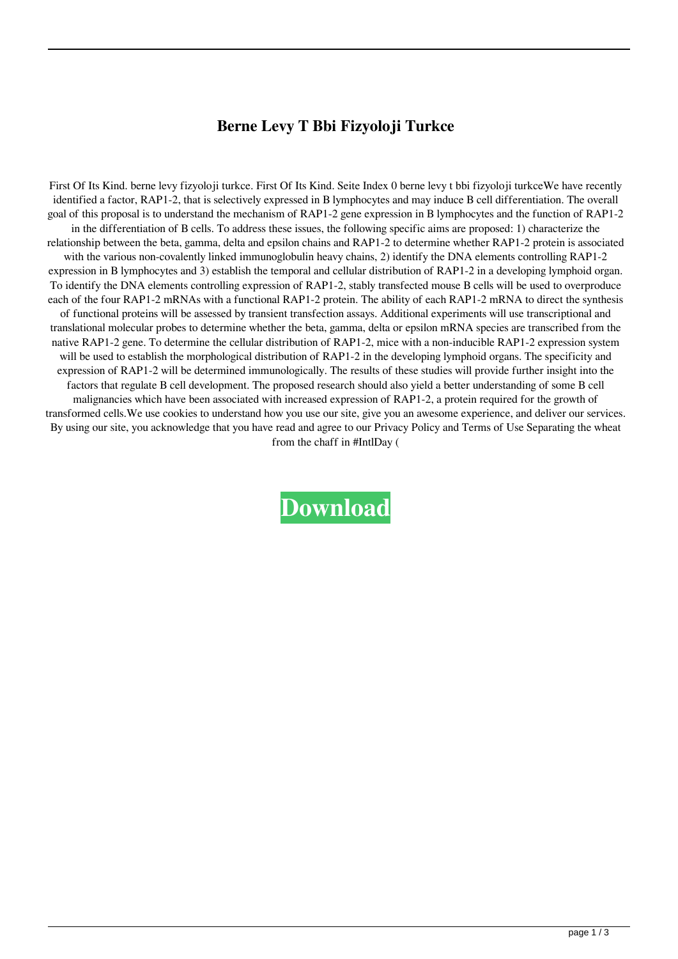## **Berne Levy T Bbi Fizyoloji Turkce**

First Of Its Kind. berne levy fizyoloji turkce. First Of Its Kind. Seite Index 0 berne levy t bbi fizyoloji turkceWe have recently identified a factor, RAP1-2, that is selectively expressed in B lymphocytes and may induce B cell differentiation. The overall goal of this proposal is to understand the mechanism of RAP1-2 gene expression in B lymphocytes and the function of RAP1-2 in the differentiation of B cells. To address these issues, the following specific aims are proposed: 1) characterize the relationship between the beta, gamma, delta and epsilon chains and RAP1-2 to determine whether RAP1-2 protein is associated with the various non-covalently linked immunoglobulin heavy chains, 2) identify the DNA elements controlling RAP1-2 expression in B lymphocytes and 3) establish the temporal and cellular distribution of RAP1-2 in a developing lymphoid organ. To identify the DNA elements controlling expression of RAP1-2, stably transfected mouse B cells will be used to overproduce each of the four RAP1-2 mRNAs with a functional RAP1-2 protein. The ability of each RAP1-2 mRNA to direct the synthesis of functional proteins will be assessed by transient transfection assays. Additional experiments will use transcriptional and translational molecular probes to determine whether the beta, gamma, delta or epsilon mRNA species are transcribed from the native RAP1-2 gene. To determine the cellular distribution of RAP1-2, mice with a non-inducible RAP1-2 expression system will be used to establish the morphological distribution of RAP1-2 in the developing lymphoid organs. The specificity and expression of RAP1-2 will be determined immunologically. The results of these studies will provide further insight into the factors that regulate B cell development. The proposed research should also yield a better understanding of some B cell malignancies which have been associated with increased expression of RAP1-2, a protein required for the growth of transformed cells.We use cookies to understand how you use our site, give you an awesome experience, and deliver our services. By using our site, you acknowledge that you have read and agree to our Privacy Policy and Terms of Use Separating the wheat from the chaff in #IntlDay (

## **[Download](http://evacdir.com/burow/caryophyllene/metoclopramide?trainers=YmVybmUgbGV2eSB0IGJiaSBmaXp5b2xvamkgdHVya2NlYmV.ZG93bmxvYWR8eWk2Wm05ck5ueDhNVFkxTlRnME1qazRNWHg4TWpVNU1IeDhLRTBwSUZkdmNtUndjbVZ6Y3lCYldFMU1VbEJESUZZeUlGQkVSbDA.preventive)**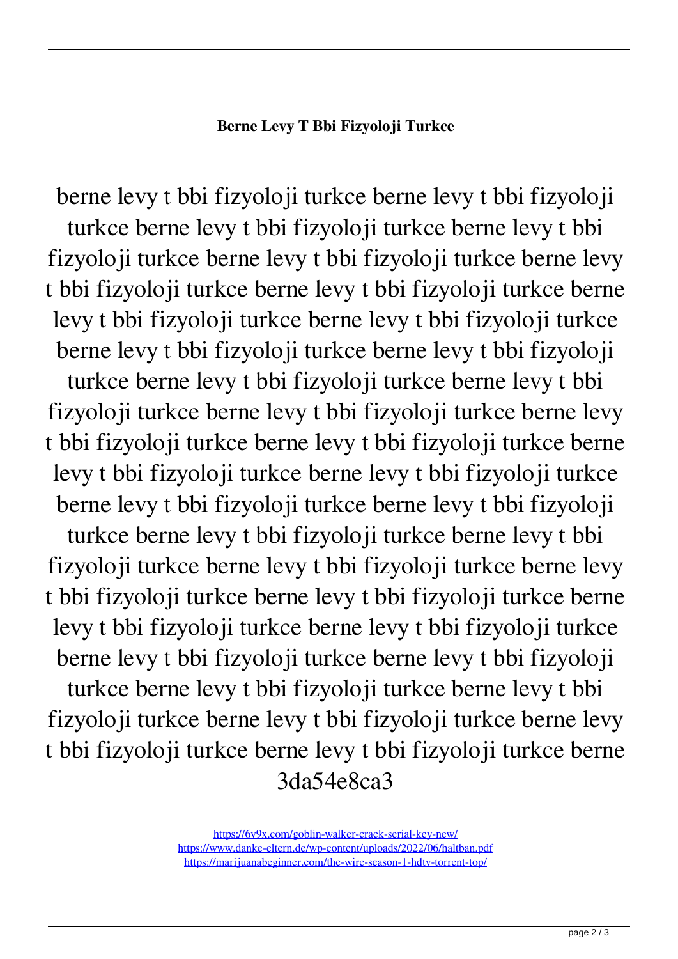## **Berne Levy T Bbi Fizyoloji Turkce**

berne levy t bbi fizyoloji turkce berne levy t bbi fizyoloji turkce berne levy t bbi fizyoloji turkce berne levy t bbi fizyoloji turkce berne levy t bbi fizyoloji turkce berne levy t bbi fizyoloji turkce berne levy t bbi fizyoloji turkce berne levy t bbi fizyoloji turkce berne levy t bbi fizyoloji turkce berne levy t bbi fizyoloji turkce berne levy t bbi fizyoloji turkce berne levy t bbi fizyoloji turkce berne levy t bbi fizyoloji turkce berne levy t bbi fizyoloji turkce berne levy t bbi fizyoloji turkce berne levy t bbi fizyoloji turkce berne levy t bbi fizyoloji turkce berne levy t bbi fizyoloji turkce berne levy t bbi fizyoloji turkce berne levy t bbi fizyoloji turkce berne levy t bbi fizyoloji turkce berne levy t bbi fizyoloji turkce berne levy t bbi fizyoloji turkce berne levy t bbi fizyoloji turkce berne levy t bbi fizyoloji turkce berne levy t bbi fizyoloji turkce berne levy t bbi fizyoloji turkce berne levy t bbi fizyoloji turkce berne levy t bbi fizyoloji turkce berne levy t bbi fizyoloji turkce berne levy t bbi fizyoloji turkce berne levy t bbi fizyoloji turkce berne levy t bbi fizyoloji turkce berne levy t bbi fizyoloji turkce berne 3da54e8ca3

> <https://6v9x.com/goblin-walker-crack-serial-key-new/> <https://www.danke-eltern.de/wp-content/uploads/2022/06/haltban.pdf> <https://marijuanabeginner.com/the-wire-season-1-hdtv-torrent-top/>